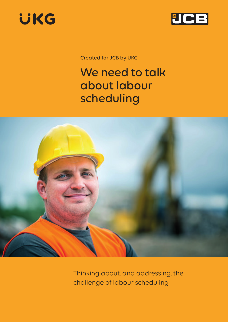



Created for JCB by UKG

# We need to talk about labour scheduling



Thinking about, and addressing, the challenge of labour scheduling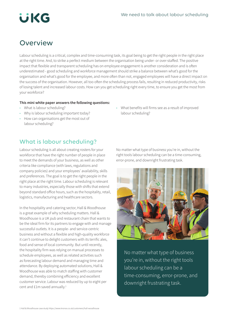

### **Overview**

Labour scheduling is a critical, complex and time-consuming task, its goal being to get the right people in the right place at the right time. And, to strike a perfect medium between the organisation being under- or over-staffed. The positive impact that flexible and transparent scheduling has on employee engagement is another consideration and is often underestimated - good scheduling and workforce management should strike a balance between what's good for the organisation and what's good for the employee, and more often than not, engaged employees will have a direct impact on the success of the organisation. However, all too often the scheduling process fails, resulting in reduced productivity, risks of losing talent and increased labour costs. How can you get scheduling right every time, to ensure you get the most from your workforce?

### **This mini white paper answers the following questions:**

- What is labour scheduling?
- Why is labour scheduling important today?
- How can organisations get the most out of labour scheduling?
- What benefits will firms see as a result of improved labour scheduling?

### What is labour scheduling?

Labour scheduling is all about creating rosters for your workforce that have the right number of people in place to meet the demands of your business, as well as other criteria like compliance (with laws, regulations and company policies) and your employees' availability, skills and preferences. The goal is to get the right people in the right place at the right time. Labour scheduling is relevant to many industries, especially those with shifts that extend beyond standard office hours, such as the hospitality, retail, logistics, manufacturing and healthcare sectors.

In the hospitality and catering sector, Hall & Woodhouse is a great example of why scheduling matters. Hall & Woodhouse is a UK pub and restaurant chain that wants to be the ideal firm for its partners to engage with and manage successful outlets. It is a people- and service-centric business and without a flexible and high-quality workforce it can't continue to delight customers with its terrific ales, food and sense of local community. But until recently, the hospitality firm was relying on manual processes to schedule employees, as well as related activities such as forecasting labour demand and managing time and attendance. By deploying automated solutions, Hall & Woodhouse was able to match staffing with customer demand, thereby combining efficiency and excellent customer service. Labour was reduced by up to eight per cent and £1m saved annually.<sup>1</sup>

No matter what type of business you're in, without the right tools labour scheduling can be a time-consuming, error-prone, and downright frustrating task.



No matter what type of business you're in, without the right tools labour scheduling can be a time-consuming, error-prone, and downright frustrating task.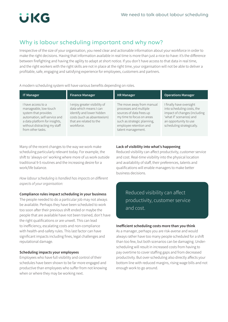### Why is labour scheduling important and why now?

Irrespective of the size of your organisation, you need clear and actionable information about your workforce in order to make the right decisions. Having that information available in real time is more than just a nice-to-have: it's the difference between firefighting and having the agility to adapt at short notice. If you don't have access to that data in real time, and the right workers with the right skills are not in place at the right time, your organisation will not be able to deliver a profitable, safe, engaging and satisfying experience for employees, customers and partners.

A modern scheduling system will have various benefits depending on roles.

| <b>IT Manager</b>                                                                                                                                                                         | <b>Finance Manager</b>                                                                                                                                     | <b>HR Manager</b>                                                                                                                                                                           | <b>Operations Manager</b>                                                                                                                                                |
|-------------------------------------------------------------------------------------------------------------------------------------------------------------------------------------------|------------------------------------------------------------------------------------------------------------------------------------------------------------|---------------------------------------------------------------------------------------------------------------------------------------------------------------------------------------------|--------------------------------------------------------------------------------------------------------------------------------------------------------------------------|
| I have access to a<br>manageable, low-touch<br>system that provides<br>automation, self-service and<br>a data platform for insights,<br>without distracting my staff<br>from other tasks. | enjoy greater visibility of<br>data which means I can<br>identify and lower hidden<br>costs (such as absenteeism)<br>that are related to the<br>workforce. | The move away from manual<br>processes and multiple<br>sources of data frees up<br>my time to focus on areas<br>such as strategic planning,<br>employee retention and<br>talent management. | I finally have oversight<br>into scheduling costs, the<br>impact of changes (including<br>'what if' scenarios) and<br>an opportunity to use<br>scheduling strategically. |

Many of the recent changes to the way we work make scheduling particularly relevant today. For example, the shift to 'always-on' working where more of us work outside traditional 9-5 routines and the increasing desire for a work/life balance.

*How labour scheduling is handled has impacts on different aspects of your organisation:* 

### **Compliance rules impact scheduling in your business**

The people needed to do a particular job may not always be available. Perhaps they have been scheduled to work too soon after their previous shift ended or maybe the people that are available have not been trained, don't have the right qualifications or are unwell. This can lead to inefficiency, escalating costs and non-compliance with health-and-safety rules. This last factor can have significant impacts including fines, legal challenges and reputational damage.

### **Scheduling impacts your employees**

Employees who have full visibility and control of their schedules have been shown to be far more engaged and productive than employees who suffer from not knowing when or where they may be working next.

### **Lack of visibility into what's happening**

Reduced visibility can affect productivity, customer service and cost. Real-time visibility into the physical location and availability of staff, their preferences, talents and qualifications will enable managers to make better business decisions.

### Reduced visibility can affect productivity, customer service and cost.

### **Inefficient scheduling costs more than you think**

As a manager, perhaps you are risk-averse and would always rather have too many people scheduled for a shift than too few, but both scenarios can be damaging. Underscheduling will result in increased costs from having to pay overtime to cover staffing gaps and from decreased productivity. But over-scheduling also directly affects your bottom line with reduced margins, rising wage bills and not enough work to go around.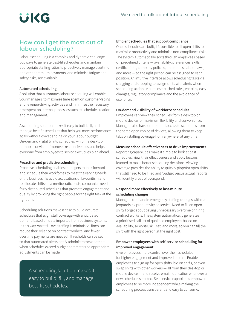

### How can I get the most out of labour scheduling?

Labour scheduling is a complex and dynamic challenge but ways to generate best-fit schedules and maintain appropriate staffing ratios to proactively manage overtime and other premium payments, and minimise fatigue and safety risks, are available.

### **Automated scheduling**

A solution that automates labour scheduling will enable your managers to maximise time spent on customer-facing and revenue-driving activities and minimise the necessary time spent on internal processes such as schedule creation and management.

A scheduling solution makes it easy to build, fill, and manage best-fit schedules that help you meet performance goals without overspending on your labour budget. On-demand visibility into schedules — from a desktop or mobile device — improves responsiveness and helps everyone from employees to senior executives plan ahead.

#### **Proactive and predictive scheduling**

Proactive scheduling enables managers to look forward and schedule their workforces to meet the varying needs of the business. To avoid accusations of favouritism and to allocate shifts on a meritocratic basis, companies need fairly distributed schedules that promote engagement and quality by providing the right people for the right task at the right time.

Scheduling solutions make it easy to build accurate schedules that align staff coverage with anticipated demand based on data imported from business systems. In this way, wasteful overstaffing is minimised, firms can reduce their reliance on contract workers, and fewer overtime payments are needed. Thresholds can be set so that automated alerts notify administrators or others when schedules exceed budget parameters so appropriate adjustments can be made.

> A scheduling solution makes it easy to build, fill, and manage best-fit schedules.

#### **Efficient schedules that support compliance**

Once schedules are built, it's possible to fill open shifts to maximise productivity and minimise non-compliance risks. The system automatically sorts through employees based on predefined criteria — availability, preferences, skills, certifications, company policies, union rules, labour laws, and more — so the right person can be assigned to each position. An intuitive interface allows scheduling tasks via dragging and dropping to assign shifts with alerts when scheduling actions violate established rules, enabling easy changes, regulatory compliance and the avoidance of user error.

### **On-demand visibility of workforce schedules**

Employees can view their schedules from a desktop or mobile device for maximum flexibility and convenience. Managers also have on-demand access to schedules from the same open choice of devices, allowing them to keep tabs on staffing coverage from anywhere, at any time.

### **Measure schedule effectiveness to drive improvements**

Reporting capabilities make it simple to look at past schedules, view their effectiveness and apply lessons learned to make better scheduling decisions. Viewing coverage provides the ability to quickly pinpoint open shifts that still need to be filled and 'budget versus actual' reports will identify areas of overspend.

### **Respond more effectively to last-minute scheduling changes**

Managers can handle emergency staffing changes without jeopardising productivity or service. Need to fill an open shift? Forget about paying unnecessary overtime or hiring contract workers. The system automatically generates a prioritised call list of qualified employees based on availability, seniority, skill set, and more, so you can fill the shift with the right person at the right cost.

### **Empower employees with self-service scheduling for improved engagement**

Give employees more control over their schedules for higher engagement and improved morale. Enable employees to sign up for open shifts, bid on shifts, or even swap shifts with other workers — all from their desktop or mobile device — and receive email notification whenever a new schedule is posted. Self-service capabilities empower employees to be more independent while making the scheduling process transparent and easy to consume.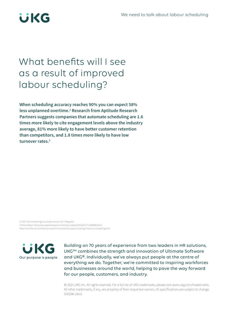

## What benefits will I see as a result of improved labour scheduling?

**When scheduling accuracy reaches 90% you can expect 58%**  less unplanned overtime.<sup>2</sup> Research from Aptitude Research **Partners suggests companies that automate scheduling are 1.6 times more likely to cite engagement levels above the industry average, 81% more likely to have better customer retention than competitors, and 1.8 times more likely to have low turnover rates.3**

2. UKG 'Poor scheduling puts productivity at risk' infographic 3 Press release: [https://www.globenewswire.com/news-release/2018/05/17/1508480/0/en/](https://www.globenewswire.com/news-release/2018/05/17/1508480/0/en/Retail-TouchPoints-And-Kronos-Host-Online-Panel-Discussion-Covering-Predictive-Scheduling.html) [Retail-TouchPoints-And-Kronos-Host-Online-Panel-Discussion-Covering-Predictive-Scheduling.html](https://www.globenewswire.com/news-release/2018/05/17/1508480/0/en/Retail-TouchPoints-And-Kronos-Host-Online-Panel-Discussion-Covering-Predictive-Scheduling.html)



Building on 70 years of experience from two leaders in HR solutions, UKG™ combines the strength and innovation of Ultimate Software and UKG®. Individually, we've always put people at the centre of everything we do. Together, we're committed to inspiring workforces and businesses around the world, helping to pave the way forward for our people, customers, and industry.

© 2020 UKG Inc. All rights reserved. For a full list of UKG trademarks, please visit www.ukg.com/ © 2021 UKG Inc. All rights reserved. For a full list of UKG trademarks, please visit www.ukg.com/trademarks. All other trademarks, if any, are property of their respective owners. All specifications are subject to change. SV0296-UKv2.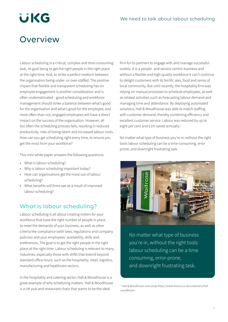# **UKG**

## **Overview**

Labour scheduling is a critical, complex and time-consuming task, its goal being to get the right people in the right place at the right time. And, to strike a perfect medium between the organisation being under- or over-staffed. The positive impact that flexible and transparent scheduling has on employee engagement is another consideration and is often underestimated - good scheduling and workforce management should strike a balance between what's good for the organisation and what's good for the employee, and more often than not, engaged employees will have a direct impact on the success of the organisation. However, all too often the scheduling process fails, resulting in reduced productivity, risks of losing talent and increased labour costs. How can you get scheduling right every time, to ensure you get the most from your workforce?

This mini white paper answers the following questions:

- What is labour scheduling?
- Why is labour scheduling important today?
- How can organisations get the most out of labour scheduling?
- What benefits will firms see as a result of improved labour scheduling?

### What is labour scheduling?

Labour scheduling is all about creating rosters for your workforce that have the right number of people in place to meet the demands of your business, as well as other criteria like compliance (with laws, regulations and company policies) and your employees' availability, skills and preferences. The goal is to get the right people in the right place at the right time. Labour scheduling is relevant to many industries, especially those with shifts that extend beyond standard office hours, such as the hospitality, retail, logistics, manufacturing and healthcare sectors.

In the hospitality and catering sector, Hall & Woodhouse is a great example of why scheduling matters. Hall & Woodhouse is a UK pub and restaurant chain that wants to be the ideal

firm for its partners to engage with and manage successful outlets. It is a people- and service-centric business and without a flexible and high-quality workforce it can't continue to delight customers with its terrific ales, food and sense of local community. But until recently, the hospitality firm was relying on manual processes to schedule employees, as well as related activities such as forecasting labour demand and managing time and attendance. By deploying automated solutions, Hall & Woodhouse was able to match staffing with customer demand, thereby combining efficiency and excellent customer service. Labour was reduced by up to eight per cent and £1m saved annually.<sup>1</sup>

No matter what type of business you're in, without the right tools labour scheduling can be a time-consuming, error prone, and downright frustrating task.



No matter what type of business you're in, without the right tools labour scheduling can be a time consuming, error-prone, and downright frustrating task.

<sup>&</sup>lt;sup>1</sup> Hall & Woodhouse case study https://www.kronos.co.uk/customers/hall*woodhouse*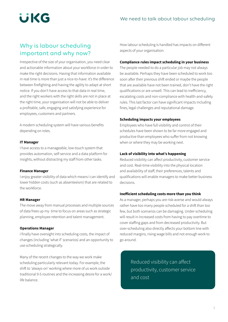

### Why is labour scheduling important and why now?

Irrespective of the size of your organisation, you need clear and actionable information about your workforce in order to make the right decisions. Having that information available in real time is more than just a nice-to-have: it's the difference between firefighting and having the agility to adapt at short notice. If you don't have access to that data in real time, and the right workers with the right skills are not in place at the right time, your organisation will not be able to deliver a profitable, safe, engaging and satisfying experience for employees, customers and partners.

A modern scheduling system will have various benefits depending on roles.

#### **IT Manager**

I have access to a manageable, low-touch system that provides automation, self-service and a data platform for insights, without distracting my staff from other tasks.

#### **Finance Manager**

I enjoy greater visibility of data which means I can identify and lower hidden costs (such as absenteeism) that are related to the workforce.

#### **HR Manager**

The move away from manual processes and multiple sources of data frees up my time to focus on areas such as strategic planning, employee retention and talent management.

### **Operations Manager**

I finally have oversight into scheduling costs, the impact of changes (including 'what if' scenarios) and an opportunity to use scheduling strategically.

Many of the recent changes to the way we work make scheduling particularly relevant today. For example, the shift to 'always-on' working where more of us work outside traditional 9-5 routines and the increasing desire for a work/ life balance.

How labour scheduling is handled has impacts on different aspects of your organisation:

### **Compliance rules impact scheduling in your business**

The people needed to do a particular job may not always be available. Perhaps they have been scheduled to work too soon after their previous shift ended or maybe the people that are available have not been trained, don't have the right qualifications or are unwell. This can lead to inefficiency, escalating costs and non-compliance with health-and-safety rules. This last factor can have significant impacts including fines, legal challenges and reputational damage.

### **Scheduling impacts your employees**

Employees who have full visibility and control of their schedules have been shown to be far more engaged and productive than employees who suffer from not knowing when or where they may be working next.

### **Lack of visibility into what's happening**

Reduced visibility can affect productivity, customer service and cost. Real-time visibility into the physical location and availability of staff, their preferences, talents and qualifications will enable managers to make better business decisions.

### **Inefficient scheduling costs more than you think**

As a manager, perhaps you are risk-averse and would always rather have too many people scheduled for a shift than too few, but both scenarios can be damaging. Under-scheduling will result in increased costs from having to pay overtime to cover staffing gaps and from decreased productivity. But over-scheduling also directly affects your bottom line with reduced margins, rising wage bills and not enough work to go around.

> Reduced visibility can affect productivity, customer service and cost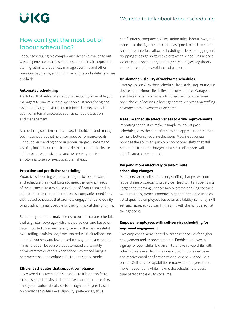

### How can I get the most out of labour scheduling?

Labour scheduling is a complex and dynamic challenge but ways to generate best-fit schedules and maintain appropriate staffing ratios to proactively manage overtime and other premium payments, and minimise fatigue and safety risks, are available.

### **Automated scheduling**

A solution that automates labour scheduling will enable your managers to maximise time spent on customer-facing and revenue-driving activities and minimise the necessary time spent on internal processes such as schedule creation and management.

A scheduling solution makes it easy to build, fill, and manage best-fit schedules that help you meet performance goals without overspending on your labour budget. On-demand visibility into schedules — from a desktop or mobile device — improves responsiveness and helps everyone from employees to senior executives plan ahead.

#### **Proactive and predictive scheduling**

Proactive scheduling enables managers to look forward and schedule their workforces to meet the varying needs of the business. To avoid accusations of favouritism and to allocate shifts on a meritocratic basis, companies need fairly distributed schedules that promote engagement and quality by providing the right people for the right task at the right time.

Scheduling solutions make it easy to build accurate schedules that align staff coverage with anticipated demand based on data imported from business systems. In this way, wasteful overstaffing is minimised, firms can reduce their reliance on contract workers, and fewer overtime payments are needed. Thresholds can be set so that automated alerts notify administrators or others when schedules exceed budget parameters so appropriate adjustments can be made.

### **Efficient schedules that support compliance**

Once schedules are built, it's possible to fill open shifts to maximise productivity and minimise non-compliance risks. The system automatically sorts through employees based on predefined criteria — availability, preferences, skills,

certifications, company policies, union rules, labour laws, and more — so the right person can be assigned to each position. An intuitive interface allows scheduling tasks via dragging and dropping to assign shifts with alerts when scheduling actions violate established rules, enabling easy changes, regulatory compliance and the avoidance of user error.

### **On-demand visibility of workforce schedules**

Employees can view their schedules from a desktop or mobile device for maximum flexibility and convenience. Managers also have on-demand access to schedules from the same open choice of devices, allowing them to keep tabs on staffing coverage from anywhere, at any time.

### **Measure schedule effectiveness to drive improvements**

Reporting capabilities make it simple to look at past schedules, view their effectiveness and apply lessons learned to make better scheduling decisions. Viewing coverage provides the ability to quickly pinpoint open shifts that still need to be filled and 'budget versus actual' reports will identify areas of overspend.

### **Respond more effectively to last-minute scheduling changes**

Managers can handle emergency staffing changes without jeopardising productivity or service. Need to fill an open shift? Forget about paying unnecessary overtime or hiring contract workers. The system automatically generates a prioritised call list of qualified employees based on availability, seniority, skill set, and more, so you can fill the shift with the right person at the right cost.

### **Empower employees with self-service scheduling for improved engagement**

Give employees more control over their schedules for higher engagement and improved morale. Enable employees to sign up for open shifts, bid on shifts, or even swap shifts with other workers — all from their desktop or mobile device and receive email notification whenever a new schedule is posted. Self-service capabilities empower employees to be more independent while making the scheduling process transparent and easy to consume.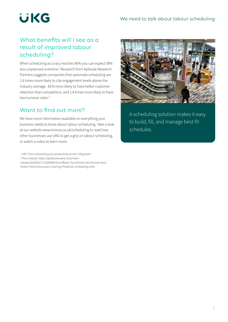

### What benefits will I see as a result of improved labour scheduling?

When scheduling accuracy reaches 90% you can expect 58% less unplanned overtime.<sup>2</sup> Research from Aptitude Research Partners suggests companies that automate scheduling are 1.6 times more likely to cite engagement levels above the industry average, 81% more likely to have better customer retention than competitors, and 1.8 times more likely to have low turnover rates.<sup>3</sup>

### Want to find out more?

We have more information available on everything your business needs to know about labour scheduling. Take a look at our website www.kronos.co.uk/scheduling to read how other businesses use UKG to get a grip on labour scheduling, or watch a video to learn more.

*1 UKG 'Poor scheduling puts productivity at risk' infographic*

*2 Press release: https://globenewswire.com/news-*

*release/2018/05/17/1508480/0/en/Retail-TouchPoints-And-Kronos-Host-Online-Panel-Discussion-Covering-Predictive-Scheduling.html*



A scheduling solution makes it easy to build, fill, and manage best-fit schedules.